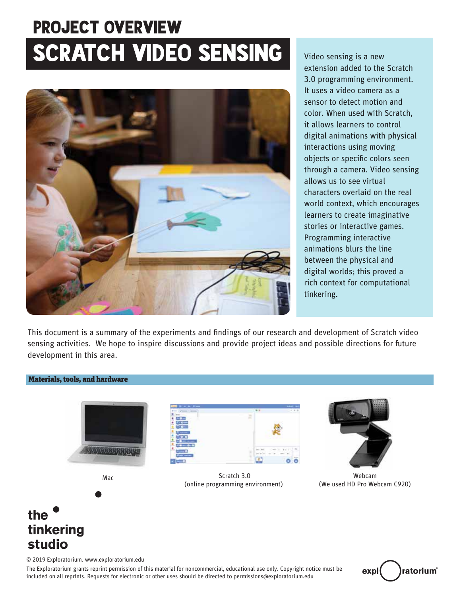# SCRATCH VIDEO SENSING Video sensing is a new PROJECT OVERVIEW



extension added to the Scratch 3.0 programming environment. It uses a video camera as a sensor to detect motion and color. When used with Scratch, it allows learners to control digital animations with physical interactions using moving objects or specific colors seen through a camera. Video sensing allows us to see virtual characters overlaid on the real world context, which encourages learners to create imaginative stories or interactive games. Programming interactive animations blurs the line between the physical and digital worlds; this proved a rich context for computational tinkering.

This document is a summary of the experiments and findings of our research and development of Scratch video sensing activities. We hope to inspire discussions and provide project ideas and possible directions for ture development in this area.

#### Materials, tools, and hardware





Scratch 3.0 (online programming environment) Mac **Mac** Webcam **Mac** Scratch 3.0



(We used HD Pro Webcam C920)

# the tinkering studio

© 2019 Exploratorium. www.exploratorium.edu

The Exploratorium grants reprint permission of this material for noncommercial, educational use only. Copyright notice must be included on all reprints. Requests for electronic or other uses should be directed to permissions@exploratorium.edu

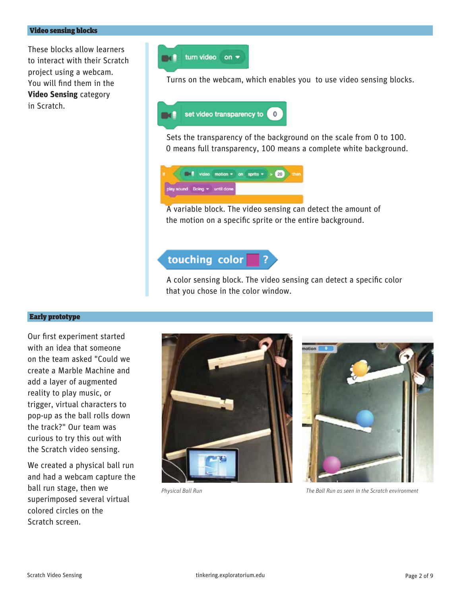These blocks allow learners to interact with their Scratch project using a webcam. You will find them in the **Video Sensing** category in Scratch.



Turns on the webcam, which enables you to use video sensing blocks.



Sets the transparency of the background on the scale from 0 to 100. 0 means full transparency, 100 means a complete white background.



A variable block. The video sensing can detect the amount of the motion on a specific sprite or the entire background.

# touching color

A color sensing block. The video sensing can detect a specific color that you chose in the color window.

#### Early prototype

Our first experiment started with an idea that someone on the team asked "Could we create a Marble Machine and add a layer of augmented reality to play music, or trigger, virtual characters to pop-up as the ball rolls down the track?" Our team was curious to try this out with the Scratch video sensing.

We created a physical ball run and had a webcam capture the ball run stage, then we superimposed several virtual colored circles on the Scratch screen.





*Physical Ball Run The Ball Run as seen in the Scratch environment*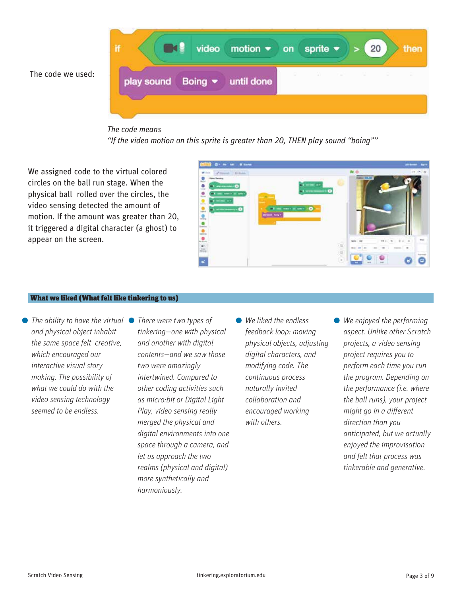The code we used:



#### *The code means*

*"If the video motion on this sprite is greater than 20, THEN play sound "boing""* 

We assigned code to the virtual colored circles on the ball run stage. When the physical ball rolled over the circles, the video sensing detected the amount of motion. If the amount was greater than 20, it triggered a digital character (a ghost) to appear on the screen.



#### What we liked (What felt like tinkering to us)

*The ability to have the virtual* ● *There were two types of and physical object inhabit the same space felt creative, which encouraged our interactive visual story making. The possibility of what we could do with the video sensing technology seemed to be endless.* 

*tinkering—one with physical and another with digital contents—and we saw those two were amazingly intertwined. Compared to other coding activities such as micro:bit or Digital Light Play, video sensing really merged the physical and digital environments into one space through a camera, and let us approach the two realms (physical and digital) more synthetically and harmoniously.* 

- *We liked the endless feedback loop: moving physical objects, adjusting digital characters, and modifying code. The continuous process naturally invited collaboration and encouraged working with others.*
- *We enjoyed the performing aspect. Unlike other Scratch projects, a video sensing project requires you to perform each time you run the program. Depending on the performance (i.e. where the ball runs), your project might go in a different direction than you anticipated, but we actually enjoyed the improvisation and felt that process was tinkerable and generative.*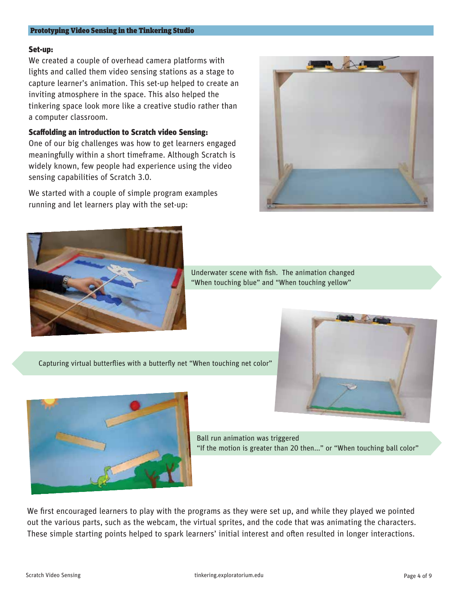#### Prototyping Video Sensing in the Tinkering Studio

#### Set-up:

We created a couple of overhead camera platforms with lights and called them video sensing stations as a stage to capture learner's animation. This set-up helped to create an inviting atmosphere in the space. This also helped the tinkering space look more like a creative studio rather than a computer classroom.

#### Scaffolding an introduction to Scratch video Sensing:

One of our big challenges was how to get learners engaged meaningfully within a short timeframe. Although Scratch is widely known, few people had experience using the video sensing capabilities of Scratch 3.0.

We started with a couple of simple program examples running and let learners play with the set-up:





Underwater scene with fish. The animation changed "When touching blue" and "When touching yellow"

Capturing virtual butterflies with a butterfly net "When touching net color"





Ball run animation was triggered "If the motion is greater than 20 then..." or "When touching ball color"

We first encouraged learners to play with the programs as they were set up, and while they played we pointed out the various parts, such as the webcam, the virtual sprites, and the code that was animating the characters. These simple starting points helped to spark learners' initial interest and often resulted in longer interactions.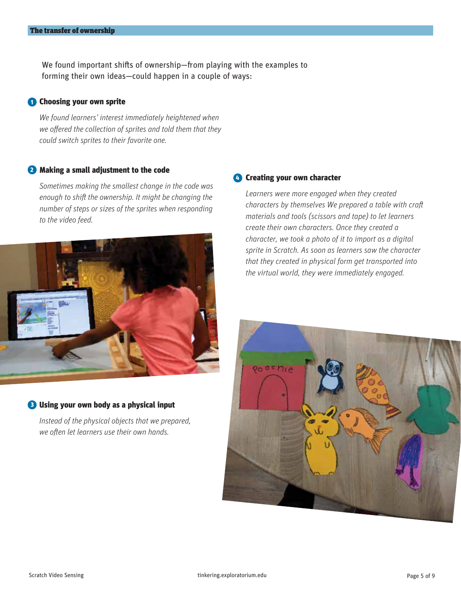We found important shifts of ownership—from playing with the examples to forming their own ideas—could happen in a couple of ways:

#### **1** Choosing your own sprite

*We found learners' interest immediately heightened when*  we offered the collection of sprites and told them that they *could switch sprites to their favorite one.* 

#### 2 Making a small adjustment to the code

*Sometimes making the smallest change in the code was*  enough to shift the ownership. It might be changing the *number of steps or sizes of the sprites when responding to the video feed.* 



#### **B** Using your own body as a physical input

*Instead of the physical objects that we prepared, we often let learners use their own hands.* 

#### **4** Creating your own character

*Learners were more engaged when they created characters by themselves We prepared a table with craft materials and tools (scissors and tape) to let learners create their own characters. Once they created a character, we took a photo of it to import as a digital sprite in Scratch. As soon as learners saw the character that they created in physical form get transported into the virtual world, they were immediately engaged.* 

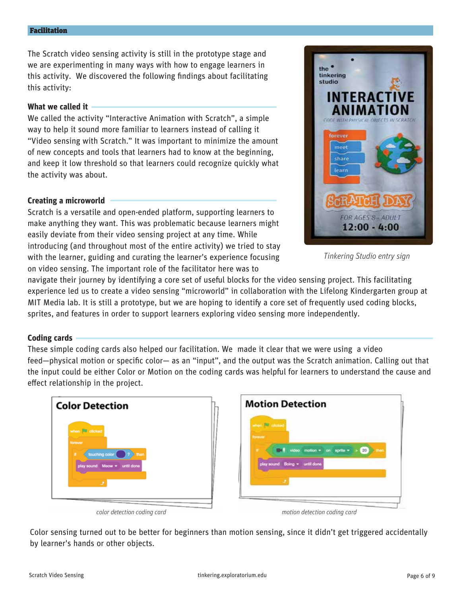#### Facilitation

The Scratch video sensing activity is still in the prototype stage and we are experimenting in many ways with how to engage learners in this activity. We discovered the following findings about facilitating this activity:

#### **What we called it**

We called the activity "Interactive Animation with Scratch", a simple way to help it sound more familiar to learners instead of calling it "Video sensing with Scratch." It was important to minimize the amount of new concepts and tools that learners had to know at the beginning, and keep it low threshold so that learners could recognize quickly what the activity was about.

#### **Creating a microworld**

Scratch is a versatile and open-ended platform, supporting learners to make anything they want. This was problematic because learners might easily deviate from their video sensing project at any time. While introducing (and throughout most of the entire activity) we tried to stay with the learner, guiding and curating the learner's experience focusing on video sensing. The important role of the facilitator here was to



*Tinkering Studio entry sign*

navigate their journey by identifying a core set of useful blocks for the video sensing project. This facilitating experience led us to create a video sensing "microworld" in collaboration with the Lifelong Kindergarten group at MIT Media lab. It is still a prototype, but we are hoping to identify a core set of frequently used coding blocks, sprites, and features in order to support learners exploring video sensing more independently.

#### **Coding cards**

These simple coding cards also helped our facilitation. We made it clear that we were using a video feed—physical motion or specific color— as an "input", and the output was the Scratch animation. Calling out that the input could be either Color or Motion on the coding cards was helpful for learners to understand the cause and effect relationship in the project.



**Motion Detection**  $\tan x = \tan x$  aprile  $x$ 

*color detection coding card motion detection coding card*

Color sensing turned out to be better for beginners than motion sensing, since it didn't get triggered accidentally by learner's hands or other objects.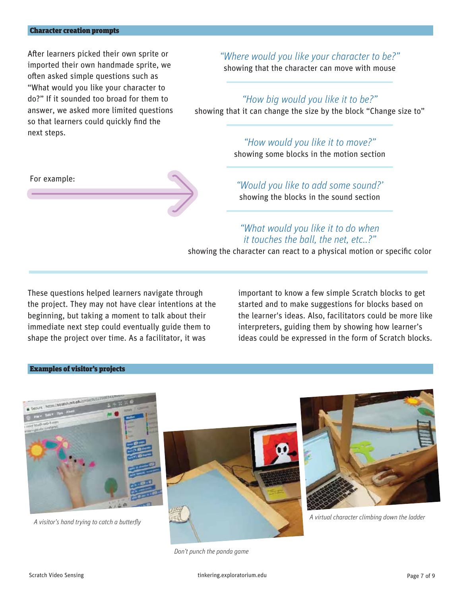For example:

After learners picked their own sprite or imported their own handmade sprite, we often asked simple questions such as "What would you like your character to do?" If it sounded too broad for them to answer, we asked more limited questions so that learners could quickly find the next steps.

*"Where would you like your character to be?"*

showing that the character can move with mouse

### *"How big would you like it to be?"*

showing that it can change the size by the block "Change size to"

# *"How would you like it to move?"*

showing some blocks in the motion section

## *"Would you like to add some sound?'*  showing the blocks in the sound section

## *"What would you like it to do when it touches the ball, the net, etc..?"*

showing the character can react to a physical motion or specific color

These questions helped learners navigate through the project. They may not have clear intentions at the beginning, but taking a moment to talk about their immediate next step could eventually guide them to shape the project over time. As a facilitator, it was

important to know a few simple Scratch blocks to get started and to make suggestions for blocks based on the learner's ideas. Also, facilitators could be more like interpreters, guiding them by showing how learner's ideas could be expressed in the form of Scratch blocks.

#### Examples of visitor's projects



A visitor's hand trying to catch a butterfly





*A virtual character climbing down the ladder*

*Don't punch the panda game*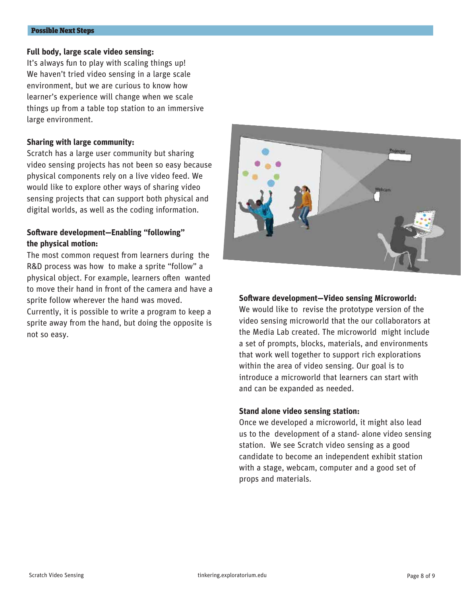#### Possible Next Steps

#### **Full body, large scale video sensing:**

It's always fun to play with scaling things up! We haven't tried video sensing in a large scale environment, but we are curious to know how learner's experience will change when we scale things up from a table top station to an immersive large environment.

#### **Sharing with large community:**

Scratch has a large user community but sharing video sensing projects has not been so easy because physical components rely on a live video feed. We would like to explore other ways of sharing video sensing projects that can support both physical and digital worlds, as well as the coding information.

#### **Software development-Enabling "following" the physical motion:**

The most common request from learners during the R&D process was how to make a sprite "follow" a physical object. For example, learners often wanted to move their hand in front of the camera and have a sprite follow wherever the hand was moved.

Currently, it is possible to write a program to keep a sprite away from the hand, but doing the opposite is not so easy.



#### **Software development-Video sensing Microworld:**

We would like to revise the prototype version of the video sensing microworld that the our collaborators at the Media Lab created. The microworld might include a set of prompts, blocks, materials, and environments that work well together to support rich explorations within the area of video sensing. Our goal is to introduce a microworld that learners can start with and can be expanded as needed.

#### **Stand alone video sensing station:**

Once we developed a microworld, it might also lead us to the development of a stand- alone video sensing station. We see Scratch video sensing as a good candidate to become an independent exhibit station with a stage, webcam, computer and a good set of props and materials.